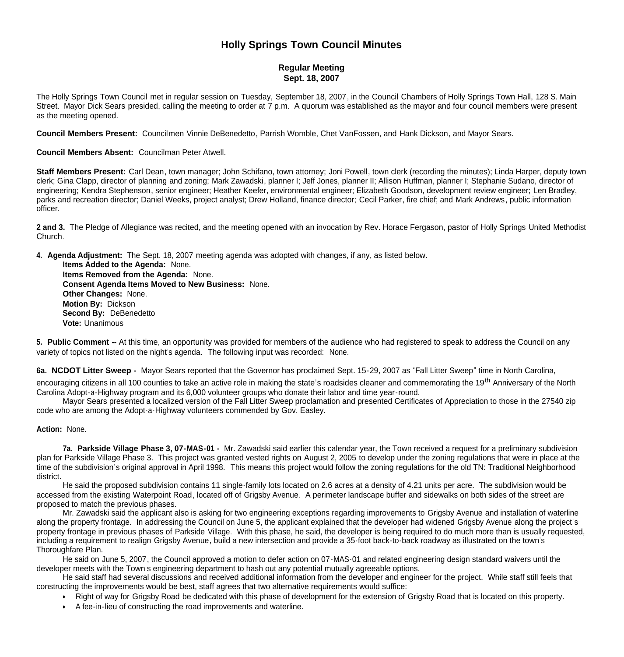# **Holly Springs Town Council Minutes**

# **Regular Meeting Sept. 18, 2007**

The Holly Springs Town Council met in regular session on Tuesday, September 18, 2007, in the Council Chambers of Holly Springs Town Hall, 128 S. Main Street. Mayor Dick Sears presided, calling the meeting to order at 7 p.m. A quorum was established as the mayor and four council members were present as the meeting opened.

**Council Members Present:** Councilmen Vinnie DeBenedetto, Parrish Womble, Chet VanFossen, and Hank Dickson, and Mayor Sears.

**Council Members Absent:** Councilman Peter Atwell.

**Staff Members Present:** Carl Dean, town manager; John Schifano, town attorney; Joni Powell, town clerk (recording the minutes); Linda Harper, deputy town clerk; Gina Clapp, director of planning and zoning; Mark Zawadski, planner I; Jeff Jones, planner II; Allison Huffman, planner I; Stephanie Sudano, director of engineering; Kendra Stephenson, senior engineer; Heather Keefer, environmental engineer; Elizabeth Goodson, development review engineer; Len Bradley, parks and recreation director; Daniel Weeks, project analyst; Drew Holland, finance director; Cecil Parker, fire chief; and Mark Andrews, public information officer.

**2 and 3.** The Pledge of Allegiance was recited, and the meeting opened with an invocation by Rev. Horace Fergason, pastor of Holly Springs United Methodist Church.

**4. Agenda Adjustment:** The Sept. 18, 2007 meeting agenda was adopted with changes, if any, as listed below.

 **Items Added to the Agenda:** None. **Items Removed from the Agenda:** None. **Consent Agenda Items Moved to New Business:** None. **Other Changes:** None. **Motion By:** Dickson **Second By:** DeBenedetto **Vote:** Unanimous

**5. Public Comment --** At this time, an opportunity was provided for members of the audience who had registered to speak to address the Council on any variety of topics not listed on the night's agenda. The following input was recorded: None.

**6a. NCDOT Litter Sweep -** Mayor Sears reported that the Governor has proclaimed Sept. 15-29, 2007 as "Fall Litter Sweep" time in North Carolina,

encouraging citizens in all 100 counties to take an active role in making the state's roadsides cleaner and commemorating the 19<sup>th</sup> Anniversary of the North Carolina Adopt-a-Highway program and its 6,000 volunteer groups who donate their labor and time year-round.

 Mayor Sears presented a localized version of the Fall Litter Sweep proclamation and presented Certificates of Appreciation to those in the 27540 zip code who are among the Adopt-a-Highway volunteers commended by Gov. Easley.

#### **Action:** None.

**7a. Parkside Village Phase 3, 07-MAS-01 -** Mr. Zawadski said earlier this calendar year, the Town received a request for a preliminary subdivision plan for Parkside Village Phase 3. This project was granted vested rights on August 2, 2005 to develop under the zoning regulations that were in place at the time of the subdivision's original approval in April 1998. This means this project would follow the zoning regulations for the old TN: Traditional Neighborhood district.

He said the proposed subdivision contains 11 single-family lots located on 2.6 acres at a density of 4.21 units per acre. The subdivision would be accessed from the existing Waterpoint Road, located off of Grigsby Avenue. A perimeter landscape buffer and sidewalks on both sides of the street are proposed to match the previous phases.

 Mr. Zawadski said the applicant also is asking for two engineering exceptions regarding improvements to Grigsby Avenue and installation of waterline along the property frontage. In addressing the Council on June 5, the applicant explained that the developer had widened Grigsby Avenue along the project's property frontage in previous phases of Parkside Village. With this phase, he said, the developer is being required to do much more than is usually requested, including a requirement to realign Grigsby Avenue, build a new intersection and provide a 35-foot back-to-back roadway as illustrated on the town's Thoroughfare Plan.

 He said on June 5, 2007, the Council approved a motion to defer action on 07-MAS-01 and related engineering design standard waivers until the developer meets with the Town's engineering department to hash out any potential mutually agreeable options.

He said staff had several discussions and received additional information from the developer and engineer for the project. While staff still feels that constructing the improvements would be best, staff agrees that two alternative requirements would suffice:

- Right of way for Grigsby Road be dedicated with this phase of development for the extension of Grigsby Road that is located on this property.
- A fee-in-lieu of constructing the road improvements and waterline.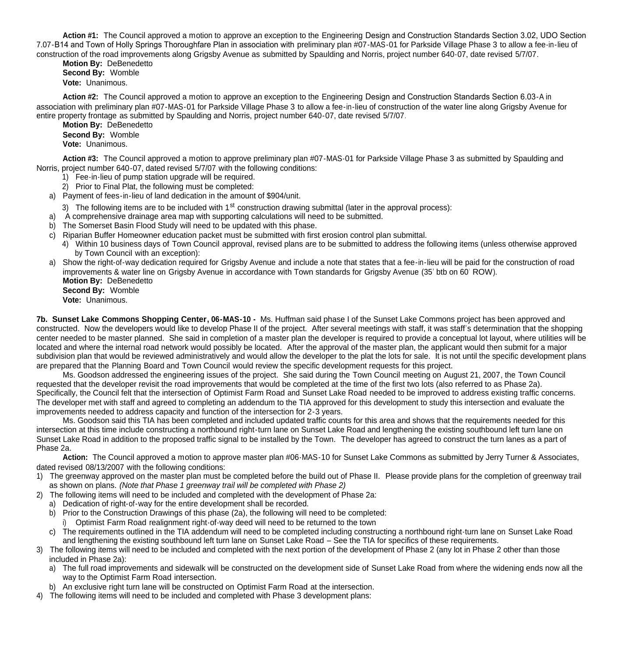**Action #1:** The Council approved a motion to approve an exception to the Engineering Design and Construction Standards Section 3.02, UDO Section 7.07-B14 and Town of Holly Springs Thoroughfare Plan in association with preliminary plan #07-MAS-01 for Parkside Village Phase 3 to allow a fee-in-lieu of construction of the road improvements along Grigsby Avenue as submitted by Spaulding and Norris, project number 640-07, date revised 5/7/07.

 **Motion By:** DeBenedetto **Second By:** Womble **Vote:** Unanimous.

 **Action #2:** The Council approved a motion to approve an exception to the Engineering Design and Construction Standards Section 6.03-A in association with preliminary plan #07-MAS-01 for Parkside Village Phase 3 to allow a fee-in-lieu of construction of the water line along Grigsby Avenue for entire property frontage as submitted by Spaulding and Norris, project number 640-07, date revised 5/7/07.

 **Motion By:** DeBenedetto **Second By:** Womble **Vote:** Unanimous.

 **Action #3:** The Council approved a motion to approve preliminary plan #07-MAS-01 for Parkside Village Phase 3 as submitted by Spaulding and Norris, project number 640-07, dated revised 5/7/07 with the following conditions:

- 1) Fee-in-lieu of pump station upgrade will be required.
- 2) Prior to Final Plat, the following must be completed:
- a) Payment of fees-in-lieu of land dedication in the amount of \$904/unit.
	- 3) The following items are to be included with  $1<sup>st</sup>$  construction drawing submittal (later in the approval process):
- a) A comprehensive drainage area map with supporting calculations will need to be submitted.
- b) The Somerset Basin Flood Study will need to be updated with this phase.
- c) Riparian Buffer Homeowner education packet must be submitted with first erosion control plan submittal.
	- 4) Within 10 business days of Town Council approval, revised plans are to be submitted to address the following items (unless otherwise approved by Town Council with an exception):
- a) Show the right-of-way dedication required for Grigsby Avenue and include a note that states that a fee-in-lieu will be paid for the construction of road improvements & water line on Grigsby Avenue in accordance with Town standards for Grigsby Avenue (35' btb on 60' ROW).  **Motion By:** DeBenedetto
	- **Second By:** Womble
	- **Vote:** Unanimous.

**7b. Sunset Lake Commons Shopping Center, 06-MAS-10 -** Ms. Huffman said phase I of the Sunset Lake Commons project has been approved and constructed. Now the developers would like to develop Phase II of the project. After several meetings with staff, it was staff's determination that the shopping center needed to be master planned. She said in completion of a master plan the developer is required to provide a conceptual lot layout, where utilities will be located and where the internal road network would possibly be located. After the approval of the master plan, the applicant would then submit for a major subdivision plan that would be reviewed administratively and would allow the developer to the plat the lots for sale. It is not until the specific development plans are prepared that the Planning Board and Town Council would review the specific development requests for this project.

 Ms. Goodson addressed the engineering issues of the project. She said during the Town Council meeting on August 21, 2007, the Town Council requested that the developer revisit the road improvements that would be completed at the time of the first two lots (also referred to as Phase 2a). Specifically, the Council felt that the intersection of Optimist Farm Road and Sunset Lake Road needed to be improved to address existing traffic concerns. The developer met with staff and agreed to completing an addendum to the TIA approved for this development to study this intersection and evaluate the improvements needed to address capacity and function of the intersection for 2-3 years.

 Ms. Goodson said this TIA has been completed and included updated traffic counts for this area and shows that the requirements needed for this intersection at this time include constructing a northbound right-turn lane on Sunset Lake Road and lengthening the existing southbound left turn lane on Sunset Lake Road in addition to the proposed traffic signal to be installed by the Town. The developer has agreed to construct the turn lanes as a part of Phase 2a.

 **Action:** The Council approved a motion to approve master plan #06-MAS-10 for Sunset Lake Commons as submitted by Jerry Turner & Associates, dated revised 08/13/2007 with the following conditions:

- 1) The greenway approved on the master plan must be completed before the build out of Phase II. Please provide plans for the completion of greenway trail as shown on plans. *(Note that Phase 1 greenway trail will be completed with Phase 2)*
- 2) The following items will need to be included and completed with the development of Phase 2a:
	- a) Dedication of right-of-way for the entire development shall be recorded.
	- b) Prior to the Construction Drawings of this phase (2a), the following will need to be completed:
		- i) Optimist Farm Road realignment right-of-way deed will need to be returned to the town
	- c) The requirements outlined in the TIA addendum will need to be completed including constructing a northbound right-turn lane on Sunset Lake Road and lengthening the existing southbound left turn lane on Sunset Lake Road – See the TIA for specifics of these requirements.
- 3) The following items will need to be included and completed with the next portion of the development of Phase 2 (any lot in Phase 2 other than those included in Phase 2a):
	- a) The full road improvements and sidewalk will be constructed on the development side of Sunset Lake Road from where the widening ends now all the way to the Optimist Farm Road intersection.
	- b) An exclusive right turn lane will be constructed on Optimist Farm Road at the intersection.
- 4) The following items will need to be included and completed with Phase 3 development plans: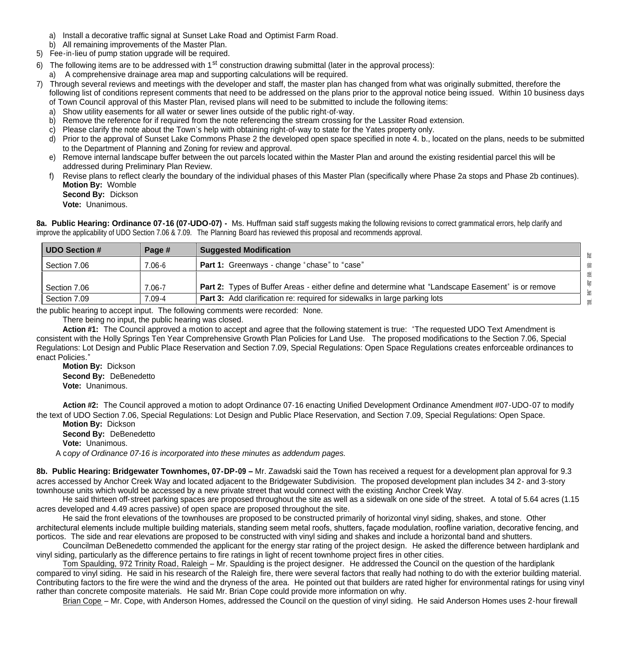- a) Install a decorative traffic signal at Sunset Lake Road and Optimist Farm Road.
- b) All remaining improvements of the Master Plan.
- 5) Fee-in-lieu of pump station upgrade will be required.
- 6) The following items are to be addressed with  $1^{st}$  construction drawing submittal (later in the approval process):
- a) A comprehensive drainage area map and supporting calculations will be required.
- 7) Through several reviews and meetings with the developer and staff, the master plan has changed from what was originally submitted, therefore the following list of conditions represent comments that need to be addressed on the plans prior to the approval notice being issued. Within 10 business days of Town Council approval of this Master Plan, revised plans will need to be submitted to include the following items:
	- a) Show utility easements for all water or sewer lines outside of the public right-of-way.
	- b) Remove the reference for if required from the note referencing the stream crossing for the Lassiter Road extension.
	- c) Please clarify the note about the Town's help with obtaining right-of-way to state for the Yates property only.
	- d) Prior to the approval of Sunset Lake Commons Phase 2 the developed open space specified in note 4. b., located on the plans, needs to be submitted to the Department of Planning and Zoning for review and approval.
	- e) Remove internal landscape buffer between the out parcels located within the Master Plan and around the existing residential parcel this will be addressed during Preliminary Plan Review.
	- f) Revise plans to reflect clearly the boundary of the individual phases of this Master Plan (specifically where Phase 2a stops and Phase 2b continues). **Motion By:** Womble
		- **Second By:** Dickson
		- **Vote:** Unanimous.

**8a. Public Hearing: Ordinance 07-16 (07-UDO-07) -** Ms. Huffman said staff suggests making the following revisions to correct grammatical errors, help clarify and improve the applicability of UDO Section 7.06 & 7.09. The Planning Board has reviewed this proposal and recommends approval.

| UDO Section # | Page #     | <b>Suggested Modification</b>                                                                             |        |
|---------------|------------|-----------------------------------------------------------------------------------------------------------|--------|
| Section 7.06  | $7.06 - 6$ | <b>Part 1:</b> Greenways - change "chase" to "case"                                                       | edefin |
|               |            |                                                                                                           |        |
| Section 7.06  | $7.06 - 7$ | <b>Part 2:</b> Types of Buffer Areas - either define and determine what "Landscape Easement" is or remove |        |
| Section 7.09  | $7.09 - 4$ | <b>Part 3:</b> Add clarification re: required for sidewalks in large parking lots                         |        |

the public hearing to accept input. The following comments were recorded: None.

There being no input, the public hearing was closed.

 **Action #1:** The Council approved a motion to accept and agree that the following statement is true: "The requested UDO Text Amendment is consistent with the Holly Springs Ten Year Comprehensive Growth Plan Policies for Land Use. The proposed modifications to the Section 7.06, Special Regulations: Lot Design and Public Place Reservation and Section 7.09, Special Regulations: Open Space Regulations creates enforceable ordinances to enact Policies."

 **Motion By:** Dickson **Second By:** DeBenedetto **Vote:** Unanimous.

 **Action #2:** The Council approved a motion to adopt Ordinance 07-16 enacting Unified Development Ordinance Amendment #07-UDO-07 to modify the text of UDO Section 7.06, Special Regulations: Lot Design and Public Place Reservation, and Section 7.09, Special Regulations: Open Space.

 **Motion By:** Dickson **Second By:** DeBenedetto **Vote:** Unanimous.

A c*opy of Ordinance 07-16 is incorporated into these minutes as addendum pages.*

**8b. Public Hearing: Bridgewater Townhomes, 07-DP-09 –** Mr. Zawadski said the Town has received a request for a development plan approval for 9.3 acres accessed by Anchor Creek Way and located adjacent to the Bridgewater Subdivision. The proposed development plan includes 34 2- and 3-story townhouse units which would be accessed by a new private street that would connect with the existing Anchor Creek Way.

He said thirteen off-street parking spaces are proposed throughout the site as well as a sidewalk on one side of the street. A total of 5.64 acres (1.15 acres developed and 4.49 acres passive) of open space are proposed throughout the site.

 He said the front elevations of the townhouses are proposed to be constructed primarily of horizontal vinyl siding, shakes, and stone. Other architectural elements include multiple building materials, standing seem metal roofs, shutters, façade modulation, roofline variation, decorative fencing, and porticos. The side and rear elevations are proposed to be constructed with vinyl siding and shakes and include a horizontal band and shutters.

 Councilman DeBenedetto commended the applicant for the energy star rating of the project design. He asked the difference between hardiplank and vinyl siding, particularly as the difference pertains to fire ratings in light of recent townhome project fires in other cities.

 Tom Spaulding, 972 Trinity Road, Raleigh – Mr. Spaulding is the project designer. He addressed the Council on the question of the hardiplank compared to vinyl siding. He said in his research of the Raleigh fire, there were several factors that really had nothing to do with the exterior building material. Contributing factors to the fire were the wind and the dryness of the area. He pointed out that builders are rated higher for environmental ratings for using vinyl rather than concrete composite materials. He said Mr. Brian Cope could provide more information on why.

Brian Cope – Mr. Cope, with Anderson Homes, addressed the Council on the question of vinyl siding. He said Anderson Homes uses 2-hour firewall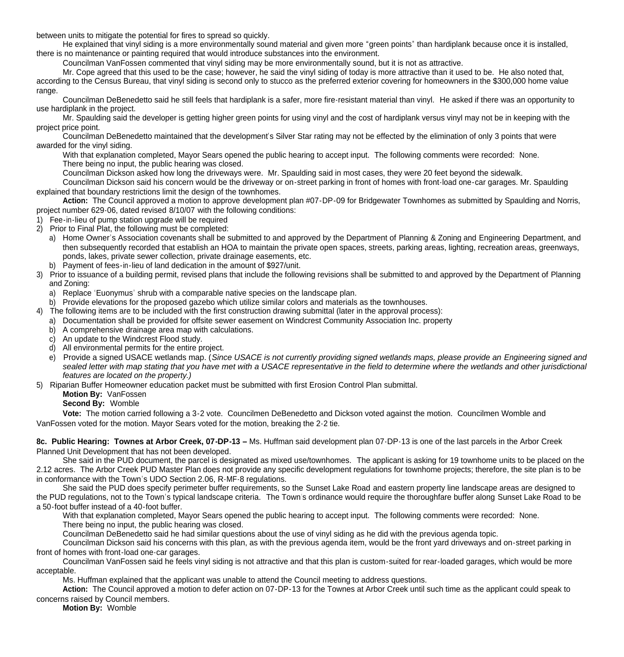between units to mitigate the potential for fires to spread so quickly.

 He explained that vinyl siding is a more environmentally sound material and given more "green points" than hardiplank because once it is installed, there is no maintenance or painting required that would introduce substances into the environment.

Councilman VanFossen commented that vinyl siding may be more environmentally sound, but it is not as attractive.

 Mr. Cope agreed that this used to be the case; however, he said the vinyl siding of today is more attractive than it used to be. He also noted that, according to the Census Bureau, that vinyl siding is second only to stucco as the preferred exterior covering for homeowners in the \$300,000 home value range.

 Councilman DeBenedetto said he still feels that hardiplank is a safer, more fire-resistant material than vinyl. He asked if there was an opportunity to use hardiplank in the project.

 Mr. Spaulding said the developer is getting higher green points for using vinyl and the cost of hardiplank versus vinyl may not be in keeping with the project price point.

 Councilman DeBenedetto maintained that the development's Silver Star rating may not be effected by the elimination of only 3 points that were awarded for the vinyl siding.

With that explanation completed, Mayor Sears opened the public hearing to accept input. The following comments were recorded: None. There being no input, the public hearing was closed.

Councilman Dickson asked how long the driveways were. Mr. Spaulding said in most cases, they were 20 feet beyond the sidewalk.

Councilman Dickson said his concern would be the driveway or on-street parking in front of homes with front-load one-car garages. Mr. Spaulding explained that boundary restrictions limit the design of the townhomes.

 **Action:** The Council approved a motion to approve development plan #07-DP-09 for Bridgewater Townhomes as submitted by Spaulding and Norris, project number 629-06, dated revised 8/10/07 with the following conditions:

- 1) Fee-in-lieu of pump station upgrade will be required
- 2) Prior to Final Plat, the following must be completed:
	- a) Home Owner's Association covenants shall be submitted to and approved by the Department of Planning & Zoning and Engineering Department, and then subsequently recorded that establish an HOA to maintain the private open spaces, streets, parking areas, lighting, recreation areas, greenways, ponds, lakes, private sewer collection, private drainage easements, etc.
	- b) Payment of fees-in-lieu of land dedication in the amount of \$927/unit.
- 3) Prior to issuance of a building permit, revised plans that include the following revisions shall be submitted to and approved by the Department of Planning and Zoning:
	- a) Replace 'Euonymus' shrub with a comparable native species on the landscape plan.
	- b) Provide elevations for the proposed gazebo which utilize similar colors and materials as the townhouses.
- 4) The following items are to be included with the first construction drawing submittal (later in the approval process):
	- a) Documentation shall be provided for offsite sewer easement on Windcrest Community Association Inc. property
	- b) A comprehensive drainage area map with calculations.
	- c) An update to the Windcrest Flood study.
	- d) All environmental permits for the entire project.
	- e) Provide a signed USACE wetlands map. (*Since USACE is not currently providing signed wetlands maps, please provide an Engineering signed and*  sealed letter with map stating that you have met with a USACE representative in the field to determine where the wetlands and other jurisdictional *features are located on the property.)*
- 5) Riparian Buffer Homeowner education packet must be submitted with first Erosion Control Plan submittal.

# **Motion By:** VanFossen

**Second By:** Womble

 **Vote:** The motion carried following a 3-2 vote. Councilmen DeBenedetto and Dickson voted against the motion. Councilmen Womble and VanFossen voted for the motion. Mayor Sears voted for the motion, breaking the 2-2 tie.

**8c. Public Hearing: Townes at Arbor Creek, 07-DP-13 –** Ms. Huffman said development plan 07-DP-13 is one of the last parcels in the Arbor Creek Planned Unit Development that has not been developed.

 She said in the PUD document, the parcel is designated as mixed use/townhomes. The applicant is asking for 19 townhome units to be placed on the 2.12 acres. The Arbor Creek PUD Master Plan does not provide any specific development regulations for townhome projects; therefore, the site plan is to be in conformance with the Town's UDO Section 2.06, R-MF-8 regulations.

 She said the PUD does specify perimeter buffer requirements, so the Sunset Lake Road and eastern property line landscape areas are designed to the PUD regulations, not to the Town's typical landscape criteria. The Town's ordinance would require the thoroughfare buffer along Sunset Lake Road to be a 50-foot buffer instead of a 40-foot buffer.

 With that explanation completed, Mayor Sears opened the public hearing to accept input. The following comments were recorded: None. There being no input, the public hearing was closed.

Councilman DeBenedetto said he had similar questions about the use of vinyl siding as he did with the previous agenda topic.

Councilman Dickson said his concerns with this plan, as with the previous agenda item, would be the front yard driveways and on-street parking in front of homes with front-load one-car garages.

Councilman VanFossen said he feels vinyl siding is not attractive and that this plan is custom-suited for rear-loaded garages, which would be more acceptable.

Ms. Huffman explained that the applicant was unable to attend the Council meeting to address questions.

**Action:** The Council approved a motion to defer action on 07-DP-13 for the Townes at Arbor Creek until such time as the applicant could speak to concerns raised by Council members.

**Motion By:** Womble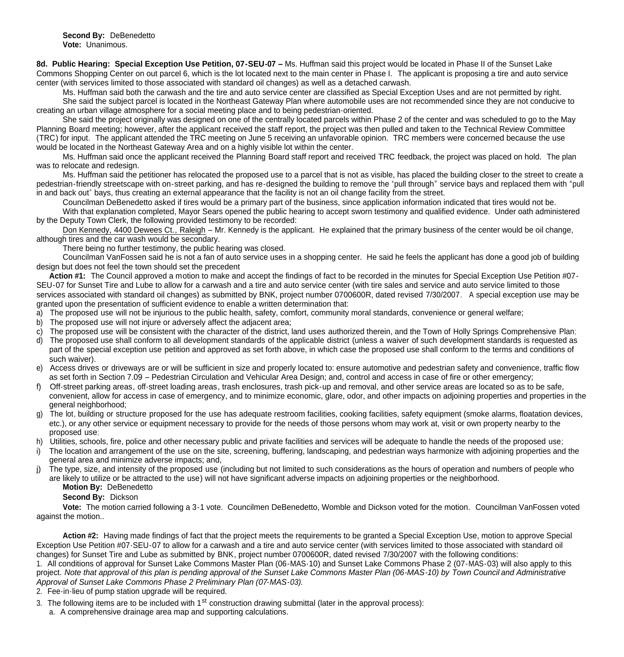**Second By:** DeBenedetto **Vote:** Unanimous.

**8d. Public Hearing: Special Exception Use Petition, 07-SEU-07 –** Ms. Huffman said this project would be located in Phase II of the Sunset Lake Commons Shopping Center on out parcel 6, which is the lot located next to the main center in Phase I. The applicant is proposing a tire and auto service center (with services limited to those associated with standard oil changes) as well as a detached carwash.

 Ms. Huffman said both the carwash and the tire and auto service center are classified as Special Exception Uses and are not permitted by right. She said the subject parcel is located in the Northeast Gateway Plan where automobile uses are not recommended since they are not conducive to creating an urban village atmosphere for a social meeting place and to being pedestrian-oriented.

 She said the project originally was designed on one of the centrally located parcels within Phase 2 of the center and was scheduled to go to the May Planning Board meeting; however, after the applicant received the staff report, the project was then pulled and taken to the Technical Review Committee (TRC) for input. The applicant attended the TRC meeting on June 5 receiving an unfavorable opinion. TRC members were concerned because the use would be located in the Northeast Gateway Area and on a highly visible lot within the center.

 Ms. Huffman said once the applicant received the Planning Board staff report and received TRC feedback, the project was placed on hold. The plan was to relocate and redesign.

 Ms. Huffman said the petitioner has relocated the proposed use to a parcel that is not as visible, has placed the building closer to the street to create a pedestrian-friendly streetscape with on-street parking, and has re-designed the building to remove the "pull through" service bays and replaced them with "pull in and back out" bays, thus creating an external appearance that the facility is not an oil change facility from the street.

 Councilman DeBenedetto asked if tires would be a primary part of the business, since application information indicated that tires would not be. With that explanation completed, Mayor Sears opened the public hearing to accept sworn testimony and qualified evidence. Under oath administered by the Deputy Town Clerk, the following provided testimony to be recorded:

Don Kennedy, 4400 Dewees Ct., Raleigh – Mr. Kennedy is the applicant. He explained that the primary business of the center would be oil change, although tires and the car wash would be secondary.

There being no further testimony, the public hearing was closed.

Councilman VanFossen said he is not a fan of auto service uses in a shopping center. He said he feels the applicant has done a good job of building design but does not feel the town should set the precedent

 **Action #1:** The Council approved a motion to make and accept the findings of fact to be recorded in the minutes for Special Exception Use Petition #07- SEU-07 for Sunset Tire and Lube to allow for a carwash and a tire and auto service center (with tire sales and service and auto service limited to those services associated with standard oil changes) as submitted by BNK, project number 0700600R, dated revised 7/30/2007. A special exception use may be granted upon the presentation of sufficient evidence to enable a written determination that:

- a) The proposed use will not be injurious to the public health, safety, comfort, community moral standards, convenience or general welfare;
- b) The proposed use will not injure or adversely affect the adjacent area;
- c) The proposed use will be consistent with the character of the district, land uses authorized therein, and the Town of Holly Springs Comprehensive Plan;
- d) The proposed use shall conform to all development standards of the applicable district (unless a waiver of such development standards is requested as part of the special exception use petition and approved as set forth above, in which case the proposed use shall conform to the terms and conditions of such waiver).
- e) Access drives or driveways are or will be sufficient in size and properly located to: ensure automotive and pedestrian safety and convenience, traffic flow as set forth in Section 7.09 – Pedestrian Circulation and Vehicular Area Design; and, control and access in case of fire or other emergency;
- f) Off-street parking areas, off-street loading areas, trash enclosures, trash pick-up and removal, and other service areas are located so as to be safe, convenient, allow for access in case of emergency, and to minimize economic, glare, odor, and other impacts on adjoining properties and properties in the general neighborhood;
- The lot, building or structure proposed for the use has adequate restroom facilities, cooking facilities, safety equipment (smoke alarms, floatation devices, etc.), or any other service or equipment necessary to provide for the needs of those persons whom may work at, visit or own property nearby to the proposed use;
- Utilities, schools, fire, police and other necessary public and private facilities and services will be adequate to handle the needs of the proposed use;
- i) The location and arrangement of the use on the site, screening, buffering, landscaping, and pedestrian ways harmonize with adjoining properties and the general area and minimize adverse impacts; and,
- j) The type, size, and intensity of the proposed use (including but not limited to such considerations as the hours of operation and numbers of people who are likely to utilize or be attracted to the use) will not have significant adverse impacts on adjoining properties or the neighborhood.
	- **Motion By: DeBenedetto**

### **Second By:** Dickson

 **Vote:** The motion carried following a 3-1 vote. Councilmen DeBenedetto, Womble and Dickson voted for the motion. Councilman VanFossen voted against the motion..

 **Action #2:** Having made findings of fact that the project meets the requirements to be granted a Special Exception Use, motion to approve Special Exception Use Petition #07-SEU-07 to allow for a carwash and a tire and auto service center (with services limited to those associated with standard oil changes) for Sunset Tire and Lube as submitted by BNK, project number 0700600R, dated revised 7/30/2007 with the following conditions:

1. All conditions of approval for Sunset Lake Commons Master Plan (06-MAS-10) and Sunset Lake Commons Phase 2 (07-MAS-03) will also apply to this project. *Note that approval of this plan is pending approval of the Sunset Lake Commons Master Plan (06-MAS-10) by Town Council and Administrative Approval of Sunset Lake Commons Phase 2 Preliminary Plan (07-MAS-03).* 

2. Fee-in-lieu of pump station upgrade will be required.

3. The following items are to be included with 1<sup>st</sup> construction drawing submittal (later in the approval process):

a. A comprehensive drainage area map and supporting calculations.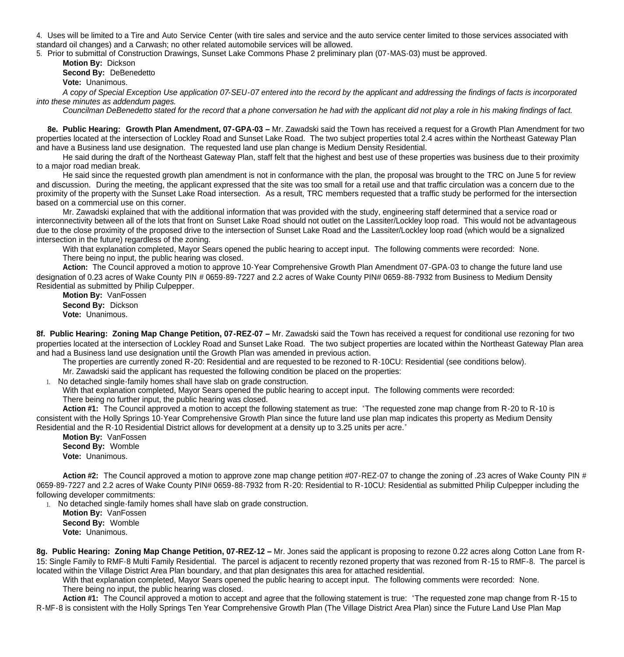4. Uses will be limited to a Tire and Auto Service Center (with tire sales and service and the auto service center limited to those services associated with standard oil changes) and a Carwash; no other related automobile services will be allowed.

5. Prior to submittal of Construction Drawings, Sunset Lake Commons Phase 2 preliminary plan (07-MAS-03) must be approved.

 **Motion By:** Dickson **Second By:** DeBenedetto

**Vote:** Unanimous.

*A copy of Special Exception Use application 07-SEU-07 entered into the record by the applicant and addressing the findings of facts is incorporated into these minutes as addendum pages.*

*Councilman DeBenedetto stated for the record that a phone conversation he had with the applicant did not play a role in his making findings of fact.* 

**8e. Public Hearing: Growth Plan Amendment, 07-GPA-03 –** Mr. Zawadski said the Town has received a request for a Growth Plan Amendment for two properties located at the intersection of Lockley Road and Sunset Lake Road. The two subject properties total 2.4 acres within the Northeast Gateway Plan and have a Business land use designation. The requested land use plan change is Medium Density Residential.

 He said during the draft of the Northeast Gateway Plan, staff felt that the highest and best use of these properties was business due to their proximity to a major road median break.

 He said since the requested growth plan amendment is not in conformance with the plan, the proposal was brought to the TRC on June 5 for review and discussion. During the meeting, the applicant expressed that the site was too small for a retail use and that traffic circulation was a concern due to the proximity of the property with the Sunset Lake Road intersection. As a result, TRC members requested that a traffic study be performed for the intersection based on a commercial use on this corner.

 Mr. Zawadski explained that with the additional information that was provided with the study, engineering staff determined that a service road or interconnectivity between all of the lots that front on Sunset Lake Road should not outlet on the Lassiter/Lockley loop road. This would not be advantageous due to the close proximity of the proposed drive to the intersection of Sunset Lake Road and the Lassiter/Lockley loop road (which would be a signalized intersection in the future) regardless of the zoning.

With that explanation completed, Mayor Sears opened the public hearing to accept input. The following comments were recorded: None. There being no input, the public hearing was closed.

 **Action:** The Council approved a motion to approve 10-Year Comprehensive Growth Plan Amendment 07-GPA-03 to change the future land use designation of 0.23 acres of Wake County PIN # 0659-89-7227 and 2.2 acres of Wake County PIN# 0659-88-7932 from Business to Medium Density Residential as submitted by Philip Culpepper.

**Motion By: VanFossen Second By:** Dickson **Vote:** Unanimous.

**8f. Public Hearing: Zoning Map Change Petition, 07-REZ-07 –** Mr. Zawadski said the Town has received a request for conditional use rezoning for two properties located at the intersection of Lockley Road and Sunset Lake Road. The two subject properties are located within the Northeast Gateway Plan area and had a Business land use designation until the Growth Plan was amended in previous action.

The properties are currently zoned R-20: Residential and are requested to be rezoned to R-10CU: Residential (see conditions below).

Mr. Zawadski said the applicant has requested the following condition be placed on the properties:

1. No detached single-family homes shall have slab on grade construction.

With that explanation completed, Mayor Sears opened the public hearing to accept input. The following comments were recorded: There being no further input, the public hearing was closed.

**Action #1:** The Council approved a motion to accept the following statement as true: "The requested zone map change from R-20 to R-10 is consistent with the Holly Springs 10-Year Comprehensive Growth Plan since the future land use plan map indicates this property as Medium Density Residential and the R-10 Residential District allows for development at a density up to 3.25 units per acre."

**Motion By:** VanFossen **Second By:** Womble **Vote:** Unanimous.

 **Action #2:** The Council approved a motion to approve zone map change petition #07-REZ-07 to change the zoning of .23 acres of Wake County PIN # 0659-89-7227 and 2.2 acres of Wake County PIN# 0659-88-7932 from R-20: Residential to R-10CU: Residential as submitted Philip Culpepper including the following developer commitments:

1. No detached single-family homes shall have slab on grade construction.

 **Motion By:** VanFossen **Second By:** Womble **Vote:** Unanimous.

**8g. Public Hearing: Zoning Map Change Petition, 07-REZ-12 –** Mr. Jones said the applicant is proposing to rezone 0.22 acres along Cotton Lane from R-15: Single Family to RMF-8 Multi Family Residential. The parcel is adjacent to recently rezoned property that was rezoned from R-15 to RMF-8. The parcel is located within the Village District Area Plan boundary, and that plan designates this area for attached residential.

With that explanation completed, Mayor Sears opened the public hearing to accept input. The following comments were recorded: None. There being no input, the public hearing was closed.

 **Action #1:** The Council approved a motion to accept and agree that the following statement is true: "The requested zone map change from R-15 to R-MF-8 is consistent with the Holly Springs Ten Year Comprehensive Growth Plan (The Village District Area Plan) since the Future Land Use Plan Map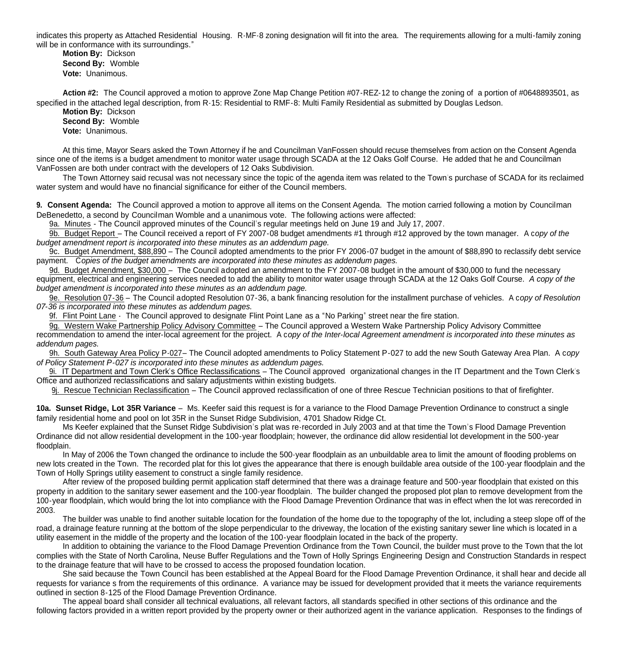indicates this property as Attached Residential Housing. R-MF-8 zoning designation will fit into the area. The requirements allowing for a multi-family zoning will be in conformance with its surroundings."

 **Motion By:** Dickson **Second By:** Womble **Vote:** Unanimous.

 **Action #2:** The Council approved a motion to approve Zone Map Change Petition #07-REZ-12 to change the zoning of a portion of #0648893501, as specified in the attached legal description, from R-15: Residential to RMF-8: Multi Family Residential as submitted by Douglas Ledson.

 **Motion By:** Dickson **Second By:** Womble **Vote:** Unanimous.

At this time, Mayor Sears asked the Town Attorney if he and Councilman VanFossen should recuse themselves from action on the Consent Agenda since one of the items is a budget amendment to monitor water usage through SCADA at the 12 Oaks Golf Course. He added that he and Councilman VanFossen are both under contract with the developers of 12 Oaks Subdivision.

The Town Attorney said recusal was not necessary since the topic of the agenda item was related to the Town's purchase of SCADA for its reclaimed water system and would have no financial significance for either of the Council members.

**9. Consent Agenda:** The Council approved a motion to approve all items on the Consent Agenda. The motion carried following a motion by Councilman DeBenedetto, a second by Councilman Womble and a unanimous vote. The following actions were affected:

9a. Minutes - The Council approved minutes of the Council's regular meetings held on June 19 and July 17, 2007.

 9b. Budget Report – The Council received a report of FY 2007-08 budget amendments #1 through #12 approved by the town manager. A c*opy of the budget amendment report is incorporated into these minutes as an addendum page.*

 9c. Budget Amendment, \$88,890 – The Council adopted amendments to the prior FY 2006-07 budget in the amount of \$88,890 to reclassify debt service payment. C*opies of the budget amendments are incorporated into these minutes as addendum pages.*

9d. Budget Amendment, \$30,000 – The Council adopted an amendment to the FY 2007-08 budget in the amount of \$30,000 to fund the necessary equipment, electrical and engineering services needed to add the ability to monitor water usage through SCADA at the 12 Oaks Golf Course. *A copy of the budget amendment is incorporated into these minutes as an addendum page.*

 9e. Resolution 07-36 – The Council adopted Resolution 07-36, a bank financing resolution for the installment purchase of vehicles. A c*opy of Resolution 07-36 is incorporated into these minutes as addendum pages.*

9f. Flint Point Lane - The Council approved to designate Flint Point Lane as a "No Parking" street near the fire station.

 9g. Western Wake Partnership Policy Advisory Committee – The Council approved a Western Wake Partnership Policy Advisory Committee recommendation to amend the inter-local agreement for the project. A c*opy of the Inter-local Agreement amendment is incorporated into these minutes as addendum pages.*

 9h. South Gateway Area Policy P-027– The Council adopted amendments to Policy Statement P-027 to add the new South Gateway Area Plan. A c*opy of Policy Statement P-027 is incorporated into these minutes as addendum pages.*

 9i. IT Department and Town Clerk's Office Reclassifications – The Council approved organizational changes in the IT Department and the Town Clerk's Office and authorized reclassifications and salary adjustments within existing budgets.

9j. Rescue Technician Reclassification – The Council approved reclassification of one of three Rescue Technician positions to that of firefighter.

**10a. Sunset Ridge, Lot 35R Variance** – Ms. Keefer said this request is for a variance to the Flood Damage Prevention Ordinance to construct a single family residential home and pool on lot 35R in the Sunset Ridge Subdivision, 4701 Shadow Ridge Ct.

 Ms Keefer explained that the Sunset Ridge Subdivision's plat was re-recorded in July 2003 and at that time the Town's Flood Damage Prevention Ordinance did not allow residential development in the 100-year floodplain; however, the ordinance did allow residential lot development in the 500-year floodplain.

 In May of 2006 the Town changed the ordinance to include the 500-year floodplain as an unbuildable area to limit the amount of flooding problems on new lots created in the Town. The recorded plat for this lot gives the appearance that there is enough buildable area outside of the 100-year floodplain and the Town of Holly Springs utility easement to construct a single family residence.

 After review of the proposed building permit application staff determined that there was a drainage feature and 500-year floodplain that existed on this property in addition to the sanitary sewer easement and the 100-year floodplain. The builder changed the proposed plot plan to remove development from the 100-year floodplain, which would bring the lot into compliance with the Flood Damage Prevention Ordinance that was in effect when the lot was rerecorded in 2003.

 The builder was unable to find another suitable location for the foundation of the home due to the topography of the lot, including a steep slope off of the road, a drainage feature running at the bottom of the slope perpendicular to the driveway, the location of the existing sanitary sewer line which is located in a utility easement in the middle of the property and the location of the 100-year floodplain located in the back of the property.

 In addition to obtaining the variance to the Flood Damage Prevention Ordinance from the Town Council, the builder must prove to the Town that the lot complies with the State of North Carolina, Neuse Buffer Regulations and the Town of Holly Springs Engineering Design and Construction Standards in respect to the drainage feature that will have to be crossed to access the proposed foundation location.

 She said because the Town Council has been established at the Appeal Board for the Flood Damage Prevention Ordinance, it shall hear and decide all requests for variance s from the requirements of this ordinance. A variance may be issued for development provided that it meets the variance requirements outlined in section 8-125 of the Flood Damage Prevention Ordinance.

 The appeal board shall consider all technical evaluations, all relevant factors, all standards specified in other sections of this ordinance and the following factors provided in a written report provided by the property owner or their authorized agent in the variance application. Responses to the findings of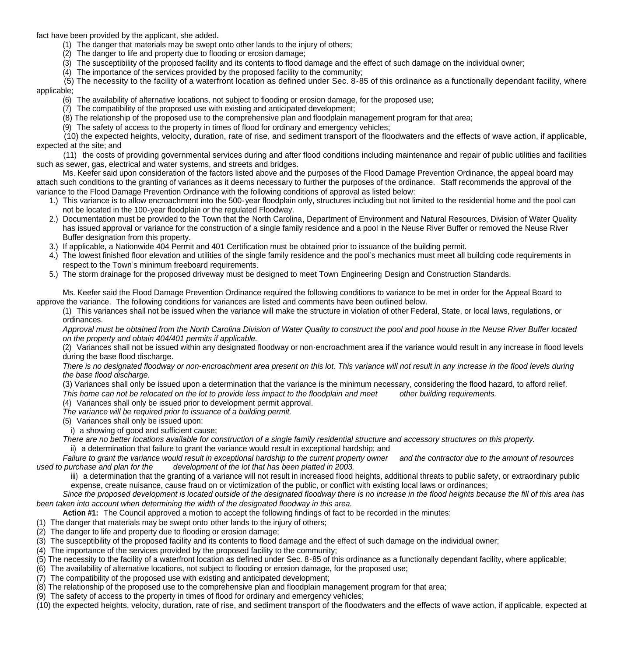fact have been provided by the applicant, she added.

- (1) The danger that materials may be swept onto other lands to the injury of others;
- (2) The danger to life and property due to flooding or erosion damage;
- (3) The susceptibility of the proposed facility and its contents to flood damage and the effect of such damage on the individual owner;
- (4) The importance of the services provided by the proposed facility to the community;
- (5) The necessity to the facility of a waterfront location as defined under Sec. 8-85 of this ordinance as a functionally dependant facility, where applicable;
	- (6) The availability of alternative locations, not subject to flooding or erosion damage, for the proposed use;
	- (7) The compatibility of the proposed use with existing and anticipated development;
	- (8) The relationship of the proposed use to the comprehensive plan and floodplain management program for that area;
	- (9) The safety of access to the property in times of flood for ordinary and emergency vehicles;

 (10) the expected heights, velocity, duration, rate of rise, and sediment transport of the floodwaters and the effects of wave action, if applicable, expected at the site; and

 (11) the costs of providing governmental services during and after flood conditions including maintenance and repair of public utilities and facilities such as sewer, gas, electrical and water systems, and streets and bridges.

 Ms. Keefer said upon consideration of the factors listed above and the purposes of the Flood Damage Prevention Ordinance, the appeal board may attach such conditions to the granting of variances as it deems necessary to further the purposes of the ordinance. Staff recommends the approval of the variance to the Flood Damage Prevention Ordinance with the following conditions of approval as listed below:

- 1.) This variance is to allow encroachment into the 500-year floodplain only, structures including but not limited to the residential home and the pool can not be located in the 100-year floodplain or the regulated Floodway.
- 2.) Documentation must be provided to the Town that the North Carolina, Department of Environment and Natural Resources, Division of Water Quality has issued approval or variance for the construction of a single family residence and a pool in the Neuse River Buffer or removed the Neuse River Buffer designation from this property.
- 3.) If applicable, a Nationwide 404 Permit and 401 Certification must be obtained prior to issuance of the building permit.
- 4.) The lowest finished floor elevation and utilities of the single family residence and the pool's mechanics must meet all building code requirements in respect to the Town's minimum freeboard requirements.
- 5.) The storm drainage for the proposed driveway must be designed to meet Town Engineering Design and Construction Standards.

 Ms. Keefer said the Flood Damage Prevention Ordinance required the following conditions to variance to be met in order for the Appeal Board to approve the variance. The following conditions for variances are listed and comments have been outlined below.

(1) This variances shall not be issued when the variance will make the structure in violation of other Federal, State, or local laws, regulations, or ordinances.

*Approval must be obtained from the North Carolina Division of Water Quality to construct the pool and pool house in the Neuse River Buffer located on the property and obtain 404/401 permits if applicable.*

(2) Variances shall not be issued within any designated floodway or non-encroachment area if the variance would result in any increase in flood levels during the base flood discharge.

*There is no designated floodway or non-encroachment area present on this lot. This variance will not result in any increase in the flood levels during the base flood discharge.* 

(3) Variances shall only be issued upon a determination that the variance is the minimum necessary, considering the flood hazard, to afford relief.

*This home can not be relocated on the lot to provide less impact to the floodplain and meet other building requirements.*

(4) Variances shall only be issued prior to development permit approval.

*The variance will be required prior to issuance of a building permit.* 

(5) Variances shall only be issued upon:

i) a showing of good and sufficient cause;

 *There are no better locations available for construction of a single family residential structure and accessory structures on this property.* 

ii) a determination that failure to grant the variance would result in exceptional hardship; and

 *Failure to grant the variance would result in exceptional hardship to the current property owner and the contractor due to the amount of resources used to purchase and plan for the development of the lot that has been platted in 2003.*

iii) a determination that the granting of a variance will not result in increased flood heights, additional threats to public safety, or extraordinary public expense, create nuisance, cause fraud on or victimization of the public, or conflict with existing local laws or ordinances;

 *Since the proposed development is located outside of the designated floodway there is no increase in the flood heights because the fill of this area has been taken into account when determining the width of the designated floodway in this area.*

**Action #1:** The Council approved a motion to accept the following findings of fact to be recorded in the minutes:

- (1) The danger that materials may be swept onto other lands to the injury of others;
- (2) The danger to life and property due to flooding or erosion damage;
- (3) The susceptibility of the proposed facility and its contents to flood damage and the effect of such damage on the individual owner;
- (4) The importance of the services provided by the proposed facility to the community;
- (5) The necessity to the facility of a waterfront location as defined under Sec. 8-85 of this ordinance as a functionally dependant facility, where applicable;
- (6) The availability of alternative locations, not subject to flooding or erosion damage, for the proposed use;
- (7) The compatibility of the proposed use with existing and anticipated development;
- (8) The relationship of the proposed use to the comprehensive plan and floodplain management program for that area;
- (9) The safety of access to the property in times of flood for ordinary and emergency vehicles;
- (10) the expected heights, velocity, duration, rate of rise, and sediment transport of the floodwaters and the effects of wave action, if applicable, expected at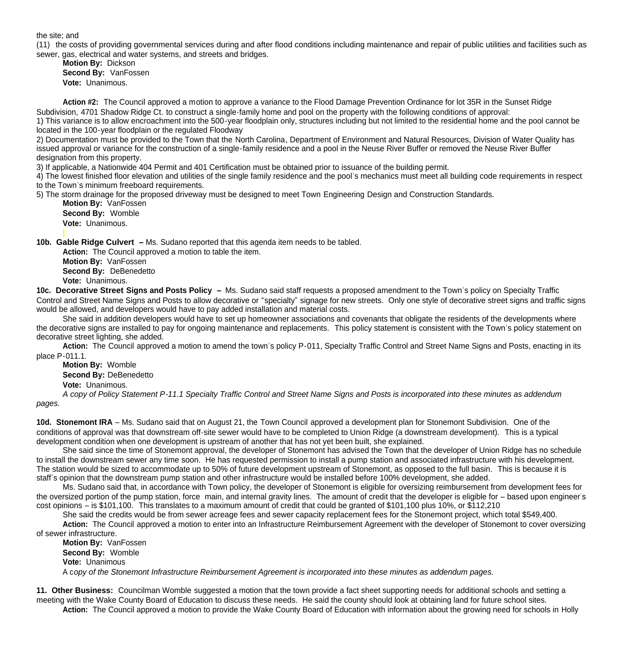the site; and

(11) the costs of providing governmental services during and after flood conditions including maintenance and repair of public utilities and facilities such as sewer, gas, electrical and water systems, and streets and bridges.

 **Motion By:** Dickson **Second By:** VanFossen **Vote:** Unanimous.

 **Action #2:** The Council approved a motion to approve a variance to the Flood Damage Prevention Ordinance for lot 35R in the Sunset Ridge Subdivision, 4701 Shadow Ridge Ct. to construct a single-family home and pool on the property with the following conditions of approval:

1) This variance is to allow encroachment into the 500-year floodplain only, structures including but not limited to the residential home and the pool cannot be located in the 100-year floodplain or the regulated Floodway

2) Documentation must be provided to the Town that the North Carolina, Department of Environment and Natural Resources, Division of Water Quality has issued approval or variance for the construction of a single-family residence and a pool in the Neuse River Buffer or removed the Neuse River Buffer designation from this property.

3) If applicable, a Nationwide 404 Permit and 401 Certification must be obtained prior to issuance of the building permit.

4) The lowest finished floor elevation and utilities of the single family residence and the pool's mechanics must meet all building code requirements in respect to the Town's minimum freeboard requirements.

5) The storm drainage for the proposed driveway must be designed to meet Town Engineering Design and Construction Standards.

 **Motion By:** VanFossen **Second By:** Womble **Vote:** Unanimous.

**10b. Gable Ridge Culvert –** Ms. Sudano reported that this agenda item needs to be tabled.

 **Action:** The Council approved a motion to table the item.  **Motion By:** VanFossen **Second By:** DeBenedetto **Vote:** Unanimous.

**10c. Decorative Street Signs and Posts Policy –** Ms. Sudano said staff requests a proposed amendment to the Town's policy on Specialty Traffic Control and Street Name Signs and Posts to allow decorative or "specialty" signage for new streets. Only one style of decorative street signs and traffic signs would be allowed, and developers would have to pay added installation and material costs.

 She said in addition developers would have to set up homeowner associations and covenants that obligate the residents of the developments where the decorative signs are installed to pay for ongoing maintenance and replacements. This policy statement is consistent with the Town's policy statement on decorative street lighting, she added.

 **Action:** The Council approved a motion to amend the town's policy P-011, Specialty Traffic Control and Street Name Signs and Posts, enacting in its place P-011.1.

**Motion By:** Womble **Second By:** DeBenedetto

**Vote:** Unanimous.

*A copy of Policy Statement P-11.1 Specialty Traffic Control and Street Name Signs and Posts is incorporated into these minutes as addendum pages.* 

**10d. Stonemont IRA** – Ms. Sudano said that on August 21, the Town Council approved a development plan for Stonemont Subdivision. One of the conditions of approval was that downstream off-site sewer would have to be completed to Union Ridge (a downstream development). This is a typical development condition when one development is upstream of another that has not yet been built, she explained.

 She said since the time of Stonemont approval, the developer of Stonemont has advised the Town that the developer of Union Ridge has no schedule to install the downstream sewer any time soon. He has requested permission to install a pump station and associated infrastructure with his development. The station would be sized to accommodate up to 50% of future development upstream of Stonemont, as opposed to the full basin. This is because it is staff's opinion that the downstream pump station and other infrastructure would be installed before 100% development, she added.

 Ms. Sudano said that, in accordance with Town policy, the developer of Stonemont is eligible for oversizing reimbursement from development fees for the oversized portion of the pump station, force main, and internal gravity lines. The amount of credit that the developer is eligible for – based upon engineer's cost opinions – is \$101,100. This translates to a maximum amount of credit that could be granted of \$101,100 plus 10%, or \$112,210

She said the credits would be from sewer acreage fees and sewer capacity replacement fees for the Stonemont project, which total \$549,400.

Action: The Council approved a motion to enter into an Infrastructure Reimbursement Agreement with the developer of Stonemont to cover oversizing of sewer infrastructure.

**Motion By:** VanFossen **Second By:** Womble **Vote:** Unanimous A c*opy of the Stonemont Infrastructure Reimbursement Agreement is incorporated into these minutes as addendum pages.*

**11. Other Business:** Councilman Womble suggested a motion that the town provide a fact sheet supporting needs for additional schools and setting a meeting with the Wake County Board of Education to discuss these needs. He said the county should look at obtaining land for future school sites.  **Action:** The Council approved a motion to provide the Wake County Board of Education with information about the growing need for schools in Holly